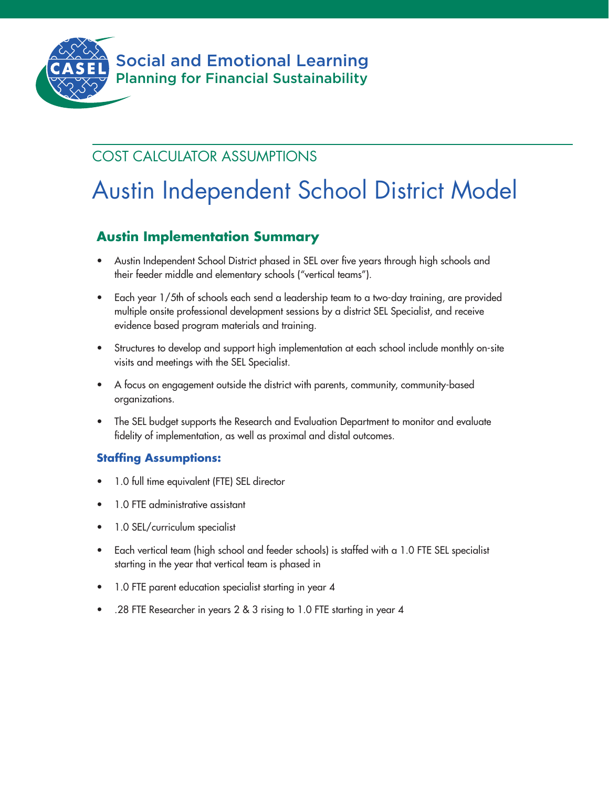

## COST CALCULATOR ASSUMPTIONS

# Austin Independent School District Model

## **Austin Implementation Summary**

- Austin Independent School District phased in SEL over five years through high schools and their feeder middle and elementary schools ("vertical teams").
- Each year 1/5th of schools each send a leadership team to a two-day training, are provided multiple onsite professional development sessions by a district SEL Specialist, and receive evidence based program materials and training.
- Structures to develop and support high implementation at each school include monthly on-site visits and meetings with the SEL Specialist.
- A focus on engagement outside the district with parents, community, community-based organizations.
- The SEL budget supports the Research and Evaluation Department to monitor and evaluate fidelity of implementation, as well as proximal and distal outcomes.

## **Staffing Assumptions:**

- 1.0 full time equivalent (FTE) SEL director
- 1.0 FTE administrative assistant
- 1.0 SEL/curriculum specialist
- Each vertical team (high school and feeder schools) is staffed with a 1.0 FTE SEL specialist starting in the year that vertical team is phased in
- 1.0 FTE parent education specialist starting in year 4
- .28 FTE Researcher in years 2 & 3 rising to 1.0 FTE starting in year 4